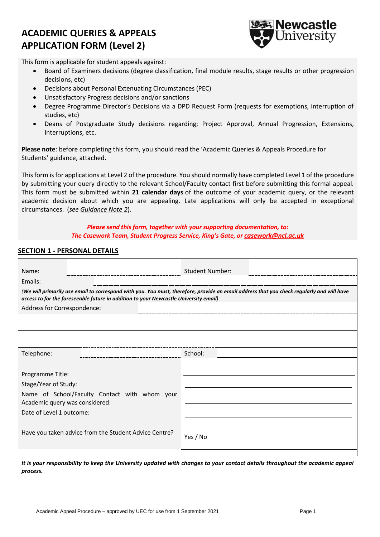# **ACADEMIC QUERIES & APPEALS APPLICATION FORM (Level 2)**



This form is applicable for student appeals against:

- Board of Examiners decisions (degree classification, final module results, stage results or other progression decisions, etc)
- Decisions about Personal Extenuating Circumstances (PEC)
- Unsatisfactory Progress decisions and/or sanctions
- Degree Programme Director's Decisions via a DPD Request Form (requests for exemptions, interruption of studies, etc)
- Deans of Postgraduate Study decisions regarding; Project Approval, Annual Progression, Extensions, Interruptions, etc.

**Please note**: before completing this form, you should read the 'Academic Queries & Appeals Procedure for Students' guidance, attached.

This form is for applications at Level 2 of the procedure. You should normally have completed Level 1 of the procedure by submitting your query directly to the relevant School/Faculty contact first before submitting this formal appeal. This form must be submitted within **21 calendar days** of the outcome of your academic query, or the relevant academic decision about which you are appealing. Late applications will only be accepted in exceptional circumstances. (*see Guidance Note 2*).

# *Please send this form, together with your supporting documentation, to: The Casework Team, Student Progress Service, King's Gate, or [casework@ncl.ac.uk](mailto:casework@ncl.ac.uk)*

# **SECTION 1 - PERSONAL DETAILS**

| <b>Student Number:</b>                                                                                                                                                                                                            |  |  |  |  |  |  |  |  |
|-----------------------------------------------------------------------------------------------------------------------------------------------------------------------------------------------------------------------------------|--|--|--|--|--|--|--|--|
|                                                                                                                                                                                                                                   |  |  |  |  |  |  |  |  |
| (We will primarily use email to correspond with you. You must, therefore, provide an email address that you check regularly and will have<br>access to for the foreseeable future in addition to your Newcastle University email) |  |  |  |  |  |  |  |  |
| Address for Correspondence:                                                                                                                                                                                                       |  |  |  |  |  |  |  |  |
|                                                                                                                                                                                                                                   |  |  |  |  |  |  |  |  |
|                                                                                                                                                                                                                                   |  |  |  |  |  |  |  |  |
| School:                                                                                                                                                                                                                           |  |  |  |  |  |  |  |  |
|                                                                                                                                                                                                                                   |  |  |  |  |  |  |  |  |
|                                                                                                                                                                                                                                   |  |  |  |  |  |  |  |  |
|                                                                                                                                                                                                                                   |  |  |  |  |  |  |  |  |
| Name of School/Faculty Contact with whom your                                                                                                                                                                                     |  |  |  |  |  |  |  |  |
|                                                                                                                                                                                                                                   |  |  |  |  |  |  |  |  |
| Yes / No                                                                                                                                                                                                                          |  |  |  |  |  |  |  |  |
|                                                                                                                                                                                                                                   |  |  |  |  |  |  |  |  |

*It is your responsibility to keep the University updated with changes to your contact details throughout the academic appeal process.*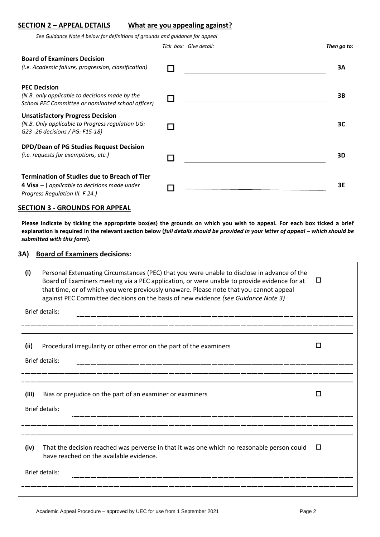#### **SECTION 2 – APPEAL DETAILS What are you appealing against?**

*See Guidance Note 4 below for definitions of grounds and guidance for appeal*

**Board of Examiners Decision**  *(i.e. Academic failure, progression, classification)*  **3A PEC Decision** *(N.B. only applicable to decisions made by the School PEC Committee or nominated school officer)* **3B Unsatisfactory Progress Decision** *(N.B. Only applicable to Progress regulation UG: G23 -26 decisions / PG: F15-18)* **3C DPD/Dean of PG Studies Request Decision** *(i.e. requests for exemptions, etc.)* **3D Termination of Studies due to Breach of Tier 4 Visa –** ( *applicable to decisions made under Progress Regulation III. F.24.)* **3E**

*Tick box: Give detail: Then go to:*

#### **SECTION 3 - GROUNDS FOR APPEAL**

**Please indicate by ticking the appropriate box(es) the grounds on which you wish to appeal. For each box ticked a brief explanation is required in the relevant section below (***full details should be provided in your letter of appeal – which should be submitted with this form***).**

#### **3A) Board of Examiners decisions:**

| (i)                   | Personal Extenuating Circumstances (PEC) that you were unable to disclose in advance of the<br>Board of Examiners meeting via a PEC application, or were unable to provide evidence for at<br>that time, or of which you were previously unaware. Please note that you cannot appeal<br>against PEC Committee decisions on the basis of new evidence (see Guidance Note 3) | $\Box$ |  |  |
|-----------------------|----------------------------------------------------------------------------------------------------------------------------------------------------------------------------------------------------------------------------------------------------------------------------------------------------------------------------------------------------------------------------|--------|--|--|
| <b>Brief details:</b> |                                                                                                                                                                                                                                                                                                                                                                            |        |  |  |
|                       |                                                                                                                                                                                                                                                                                                                                                                            |        |  |  |
| (ii)                  | Procedural irregularity or other error on the part of the examiners                                                                                                                                                                                                                                                                                                        | П      |  |  |
| <b>Brief details:</b> |                                                                                                                                                                                                                                                                                                                                                                            |        |  |  |
|                       |                                                                                                                                                                                                                                                                                                                                                                            |        |  |  |
| (iii)                 | Bias or prejudice on the part of an examiner or examiners                                                                                                                                                                                                                                                                                                                  | П      |  |  |
| <b>Brief details:</b> |                                                                                                                                                                                                                                                                                                                                                                            |        |  |  |
|                       |                                                                                                                                                                                                                                                                                                                                                                            |        |  |  |
| (iv)                  | That the decision reached was perverse in that it was one which no reasonable person could<br>have reached on the available evidence.                                                                                                                                                                                                                                      | $\Box$ |  |  |
| <b>Brief details:</b> |                                                                                                                                                                                                                                                                                                                                                                            |        |  |  |
|                       |                                                                                                                                                                                                                                                                                                                                                                            |        |  |  |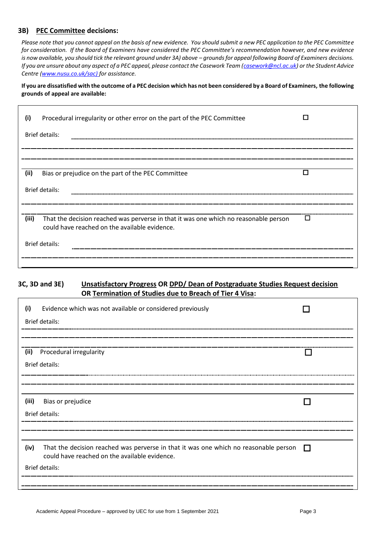# **3B) PEC Committee decisions:**

*Please note that you cannot appeal on the basis of new evidence. You should submit a new PEC application to the PEC Committee for consideration. If the Board of Examiners have considered the PEC Committee's recommendation however, and new evidence is now available, you should tick the relevant ground under 3A) above - grounds for appeal following Board of Examiners decisions. If you are unsure about any aspect of a PEC appeal, please contact the Casework Team [\(casework@ncl.ac.uk\)](mailto:casework@ncl.ac.uk)* or the Student Advice *Centre [\(www.nusu.co.uk/sac\)](http://www.nusu.co.uk/sac) for assistance.*

**If you are dissatisfied with the outcome of a PEC decision which has not been considered by a Board of Examiners, the following grounds of appeal are available:**

| (i)            | Procedural irregularity or other error on the part of the PEC Committee                                                               |  |  |  |  |
|----------------|---------------------------------------------------------------------------------------------------------------------------------------|--|--|--|--|
|                | <b>Brief details:</b>                                                                                                                 |  |  |  |  |
|                |                                                                                                                                       |  |  |  |  |
| (ii)           | Bias or prejudice on the part of the PEC Committee                                                                                    |  |  |  |  |
| Brief details: |                                                                                                                                       |  |  |  |  |
|                |                                                                                                                                       |  |  |  |  |
| (iii)          | That the decision reached was perverse in that it was one which no reasonable person<br>could have reached on the available evidence. |  |  |  |  |
| Brief details: |                                                                                                                                       |  |  |  |  |
|                |                                                                                                                                       |  |  |  |  |

# **3C, 3D and 3E) Unsatisfactory Progress OR DPD/ Dean of Postgraduate Studies Request decision OR Termination of Studies due to Breach of Tier 4 Visa:**

| (i)                   | Evidence which was not available or considered previously                                                                             |        |  |  |
|-----------------------|---------------------------------------------------------------------------------------------------------------------------------------|--------|--|--|
| Brief details:        |                                                                                                                                       |        |  |  |
|                       |                                                                                                                                       |        |  |  |
|                       | (ii) Procedural irregularity                                                                                                          |        |  |  |
|                       | Brief details:                                                                                                                        |        |  |  |
|                       |                                                                                                                                       |        |  |  |
|                       |                                                                                                                                       |        |  |  |
|                       | (iii) Bias or prejudice                                                                                                               |        |  |  |
| <b>Brief details:</b> |                                                                                                                                       |        |  |  |
|                       |                                                                                                                                       |        |  |  |
| (iv)                  | That the decision reached was perverse in that it was one which no reasonable person<br>could have reached on the available evidence. | $\Box$ |  |  |
| <b>Brief details:</b> |                                                                                                                                       |        |  |  |
|                       |                                                                                                                                       |        |  |  |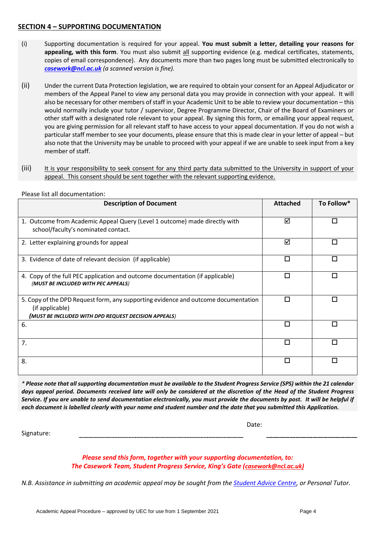# **SECTION 4 – SUPPORTING DOCUMENTATION**

- (i) Supporting documentation is required for your appeal. **You must submit a letter, detailing your reasons for appealing, with this form**. You must also submit all supporting evidence (e.g. medical certificates, statements, copies of email correspondence). Any documents more than two pages long must be submitted electronically to *[casework@ncl.ac.uk](mailto:casework@ncl.ac.uk) (a scanned version is fine).*
- (ii) Under the current Data Protection legislation, we are required to obtain your consent for an Appeal Adjudicator or members of the Appeal Panel to view any personal data you may provide in connection with your appeal. It will also be necessary for other members of staff in your Academic Unit to be able to review your documentation – this would normally include your tutor / supervisor, Degree Programme Director, Chair of the Board of Examiners or other staff with a designated role relevant to your appeal. By signing this form, or emailing your appeal request, you are giving permission for all relevant staff to have access to your appeal documentation. If you do not wish a particular staff member to see your documents, please ensure that this is made clear in your letter of appeal – but also note that the University may be unable to proceed with your appeal if we are unable to seek input from a key member of staff.
- (iii) It is your responsibility to seek consent for any third party data submitted to the University in support of your appeal. This consent should be sent together with the relevant supporting evidence.

| <b>Description of Document</b>                                                                                                                                | <b>Attached</b> | To Follow* |
|---------------------------------------------------------------------------------------------------------------------------------------------------------------|-----------------|------------|
| 1. Outcome from Academic Appeal Query (Level 1 outcome) made directly with<br>school/faculty's nominated contact.                                             | ⊠               |            |
| 2. Letter explaining grounds for appeal                                                                                                                       | ⊠               | П          |
| 3. Evidence of date of relevant decision (if applicable)                                                                                                      |                 |            |
| 4. Copy of the full PEC application and outcome documentation (if applicable)<br>(MUST BE INCLUDED WITH PEC APPEALS)                                          | П               | L          |
| 5. Copy of the DPD Request form, any supporting evidence and outcome documentation<br>(if applicable)<br>(MUST BE INCLUDED WITH DPD REQUEST DECISION APPEALS) | п               | Π          |
| 6.                                                                                                                                                            | П               |            |
| 7.                                                                                                                                                            |                 |            |
| 8.                                                                                                                                                            | П               |            |

Please list all documentation:

*\* Please note that all supporting documentation must be available to the Student Progress Service (SPS) within the 21 calendar days appeal period. Documents received late will only be considered at the discretion of the Head of the Student Progress Service. If you are unable to send documentation electronically, you must provide the documents by post. It will be helpful if each document is labelled clearly with your name and student number and the date that you submitted this Application.*

Date:

Signature:

*Please send this form, together with your supporting documentation, to: The Casework Team, Student Progress Service, King's Gate ([casework@ncl.ac.uk\)](mailto:casework@ncl.ac.uk)*

*N.B. Assistance in submitting an academic appeal may be sought from the [Student Advice Centre,](http://www.nusu.co.uk/sac) or Personal Tutor.*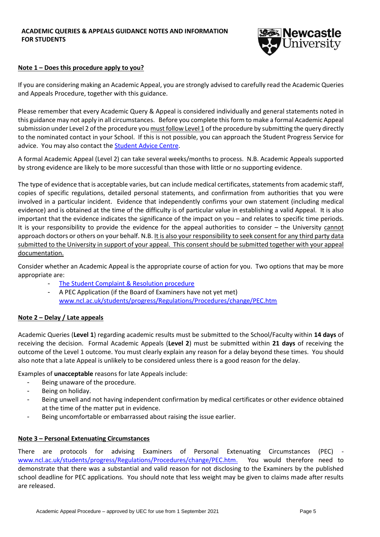

#### **Note 1 – Does this procedure apply to you?**

If you are considering making an Academic Appeal, you are strongly advised to carefully read the Academic Queries and Appeals Procedure, together with this guidance.

Please remember that every Academic Query & Appeal is considered individually and general statements noted in this guidance may not apply in all circumstances. Before you complete this form to make a formal Academic Appeal submission under Level 2 of the procedure you must follow Level 1 of the procedure by submitting the query directly to the nominated contact in your School. If this is not possible, you can approach the Student Progress Service for advice. You may also contact th[e Student Advice Centre.](http://www.nusu.co.uk/sac)

A formal Academic Appeal (Level 2) can take several weeks/months to process. N.B. Academic Appeals supported by strong evidence are likely to be more successful than those with little or no supporting evidence.

The type of evidence that is acceptable varies, but can include medical certificates, statements from academic staff, copies of specific regulations, detailed personal statements, and confirmation from authorities that you were involved in a particular incident. Evidence that independently confirms your own statement (including medical evidence) and is obtained at the time of the difficulty is of particular value in establishing a valid Appeal. It is also important that the evidence indicates the significance of the impact on you – and relates to specific time periods. It is your responsibility to provide the evidence for the appeal authorities to consider – the University cannot approach doctors or others on your behalf. N.B. It is also your responsibility to seek consent for any third party data submitted to the University in support of your appeal. This consent should be submitted together with your appeal documentation.

Consider whether an Academic Appeal is the appropriate course of action for you. Two options that may be more appropriate are:

- The Student Complaint [& Resolution procedure](https://www.ncl.ac.uk/students/progress/Regulations/Procedures/complaints.htm)
- A PEC Application (if the Board of Examiners have not yet met) [www.ncl.ac.uk/students/progress/Regulations/Procedures/change/PEC.htm](http://www.ncl.ac.uk/students/progress/Regulations/Procedures/change/PEC.htm)

#### **Note 2 – Delay / Late appeals**

Academic Queries (**Level 1**) regarding academic results must be submitted to the School/Faculty within **14 days** of receiving the decision. Formal Academic Appeals (**Level 2**) must be submitted within **21 days** of receiving the outcome of the Level 1 outcome. You must clearly explain any reason for a delay beyond these times. You should also note that a late Appeal is unlikely to be considered unless there is a good reason for the delay.

Examples of **unacceptable** reasons for late Appeals include:

- Being unaware of the procedure.
- Being on holiday.
- Being unwell and not having independent confirmation by medical certificates or other evidence obtained at the time of the matter put in evidence.
- Being uncomfortable or embarrassed about raising the issue earlier.

#### **Note 3 – Personal Extenuating Circumstances**

There are protocols for advising Examiners of Personal Extenuating Circumstances (PEC) [www.ncl.ac.uk/students/progress/Regulations/Procedures/change/PEC.htm.](http://www.ncl.ac.uk/students/progress/Regulations/Procedures/change/PEC.htm) You would therefore need to demonstrate that there was a substantial and valid reason for not disclosing to the Examiners by the published school deadline for PEC applications. You should note that less weight may be given to claims made after results are released.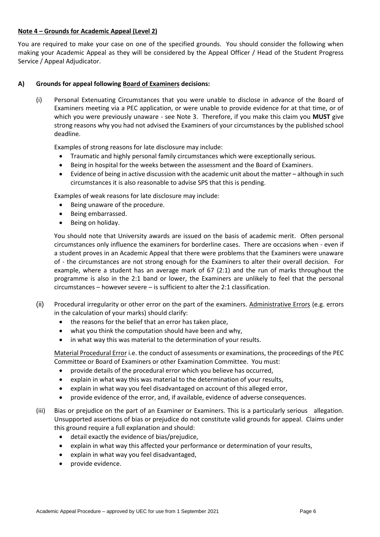# **Note 4 – Grounds for Academic Appeal (Level 2)**

You are required to make your case on one of the specified grounds. You should consider the following when making your Academic Appeal as they will be considered by the Appeal Officer / Head of the Student Progress Service / Appeal Adjudicator.

# **A) Grounds for appeal following Board of Examiners decisions:**

(i) Personal Extenuating Circumstances that you were unable to disclose in advance of the Board of Examiners meeting via a PEC application, or were unable to provide evidence for at that time, or of which you were previously unaware - see Note 3. Therefore, if you make this claim you **MUST** give strong reasons why you had not advised the Examiners of your circumstances by the published school deadline.

Examples of strong reasons for late disclosure may include:

- Traumatic and highly personal family circumstances which were exceptionally serious.
- Being in hospital for the weeks between the assessment and the Board of Examiners.
- Evidence of being in active discussion with the academic unit about the matter although in such circumstances it is also reasonable to advise SPS that this is pending.

Examples of weak reasons for late disclosure may include:

- Being unaware of the procedure.
- Being embarrassed.
- Being on holiday.

You should note that University awards are issued on the basis of academic merit. Often personal circumstances only influence the examiners for borderline cases. There are occasions when - even if a student proves in an Academic Appeal that there were problems that the Examiners were unaware of - the circumstances are not strong enough for the Examiners to alter their overall decision. For example, where a student has an average mark of 67 (2:1) and the run of marks throughout the programme is also in the 2:1 band or lower, the Examiners are unlikely to feel that the personal circumstances – however severe – is sufficient to alter the 2:1 classification.

- (ii) Procedural irregularity or other error on the part of the examiners. Administrative Errors (e.g. errors in the calculation of your marks) should clarify:
	- the reasons for the belief that an error has taken place,
	- what you think the computation should have been and why,
	- in what way this was material to the determination of your results.

Material Procedural Error i.e. the conduct of assessments or examinations, the proceedings of the PEC Committee or Board of Examiners or other Examination Committee. You must:

- provide details of the procedural error which you believe has occurred,
- explain in what way this was material to the determination of your results,
- explain in what way you feel disadvantaged on account of this alleged error,
- provide evidence of the error, and, if available, evidence of adverse consequences.
- (iii) Bias or prejudice on the part of an Examiner or Examiners. This is a particularly serious allegation. Unsupported assertions of bias or prejudice do not constitute valid grounds for appeal. Claims under this ground require a full explanation and should:
	- detail exactly the evidence of bias/prejudice,
	- explain in what way this affected your performance or determination of your results,
	- explain in what way you feel disadvantaged,
	- provide evidence.